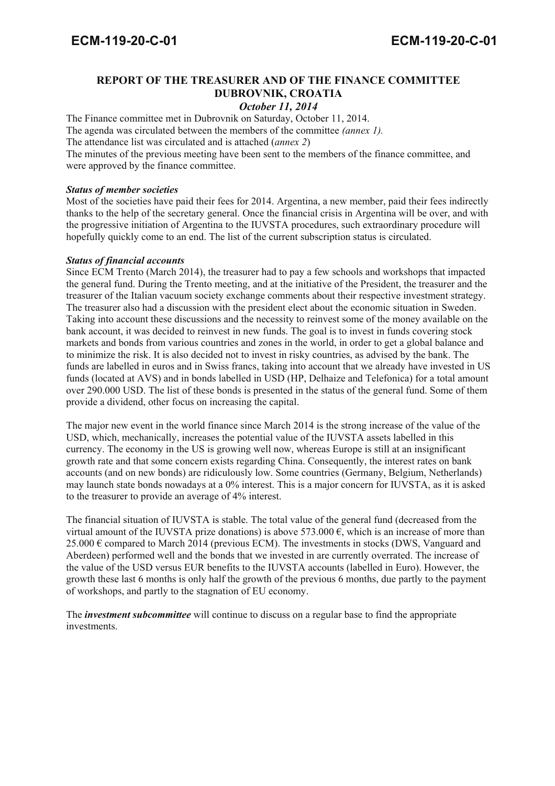# **REPORT OF THE TREASURER AND OF THE FINANCE COMMITTEE DUBROVNIK, CROATIA**

*October 11, 2014*

The Finance committee met in Dubrovnik on Saturday, October 11, 2014. The agenda was circulated between the members of the committee *(annex 1).* 

The attendance list was circulated and is attached (*annex 2*)

The minutes of the previous meeting have been sent to the members of the finance committee, and were approved by the finance committee.

### *Status of member societies*

Most of the societies have paid their fees for 2014. Argentina, a new member, paid their fees indirectly thanks to the help of the secretary general. Once the financial crisis in Argentina will be over, and with the progressive initiation of Argentina to the IUVSTA procedures, such extraordinary procedure will hopefully quickly come to an end. The list of the current subscription status is circulated.

## *Status of financial accounts*

Since ECM Trento (March 2014), the treasurer had to pay a few schools and workshops that impacted the general fund. During the Trento meeting, and at the initiative of the President, the treasurer and the treasurer of the Italian vacuum society exchange comments about their respective investment strategy. The treasurer also had a discussion with the president elect about the economic situation in Sweden. Taking into account these discussions and the necessity to reinvest some of the money available on the bank account, it was decided to reinvest in new funds. The goal is to invest in funds covering stock markets and bonds from various countries and zones in the world, in order to get a global balance and to minimize the risk. It is also decided not to invest in risky countries, as advised by the bank. The funds are labelled in euros and in Swiss francs, taking into account that we already have invested in US funds (located at AVS) and in bonds labelled in USD (HP, Delhaize and Telefonica) for a total amount over 290.000 USD. The list of these bonds is presented in the status of the general fund. Some of them provide a dividend, other focus on increasing the capital.

The major new event in the world finance since March 2014 is the strong increase of the value of the USD, which, mechanically, increases the potential value of the IUVSTA assets labelled in this currency. The economy in the US is growing well now, whereas Europe is still at an insignificant growth rate and that some concern exists regarding China. Consequently, the interest rates on bank accounts (and on new bonds) are ridiculously low. Some countries (Germany, Belgium, Netherlands) may launch state bonds nowadays at a 0% interest. This is a major concern for IUVSTA, as it is asked to the treasurer to provide an average of 4% interest.

The financial situation of IUVSTA is stable. The total value of the general fund (decreased from the virtual amount of the IUVSTA prize donations) is above 573.000  $\epsilon$ , which is an increase of more than 25.000  $\epsilon$  compared to March 2014 (previous ECM). The investments in stocks (DWS, Vanguard and Aberdeen) performed well and the bonds that we invested in are currently overrated. The increase of the value of the USD versus EUR benefits to the IUVSTA accounts (labelled in Euro). However, the growth these last 6 months is only half the growth of the previous 6 months, due partly to the payment of workshops, and partly to the stagnation of EU economy.

The *investment subcommittee* will continue to discuss on a regular base to find the appropriate investments.